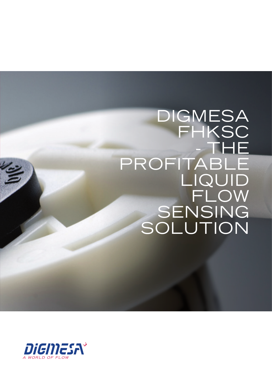# DIGMESA FHKSC - THE profitable LIQUID FLOW SENSING SOLUTION

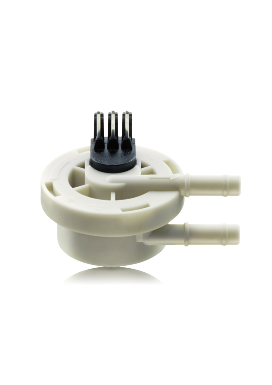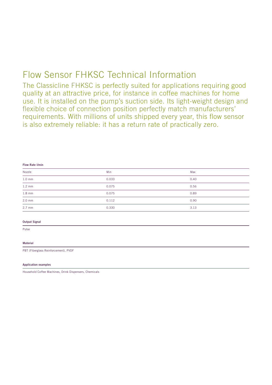## Flow Sensor FHKSC Technical Information

The Classicline FHKSC is perfectly suited for applications requiring good quality at an attractive price, for instance in coffee machines for home use. It is installed on the pump's suction side. Its light-weight design and flexible choice of connection position perfectly match manufacturers' requirements. With millions of units shipped every year, this flow sensor is also extremely reliable: it has a return rate of practically zero.

#### Flow Rate l/min

| Nozzle                                                  | Min   | Max  |
|---------------------------------------------------------|-------|------|
| $1.0 \text{ mm}$<br>and the contract of the contract of | 0.033 | 0.40 |
| $1.2 \text{ mm}$                                        | 0.075 | 0.56 |
| $1.8 \text{ mm}$<br><b>Service</b>                      | 0.075 | 0.89 |
| $2.0$ mm                                                | 0.112 | 0.90 |
| $2.7 \text{ mm}$                                        | 0.330 | 3.13 |

#### Output Signal

Pulse

#### Material

PBT (Fiberglass Reinforcement), PVDF

#### Application examples

Household Coffee Machines, Drink Dispensers, Chemicals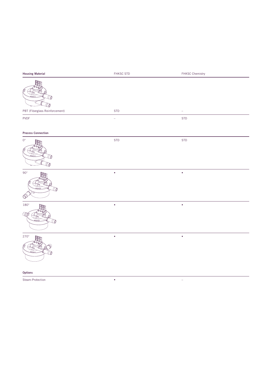| PBT (Fiberglass Reinforcement)<br><b>STD</b><br>PVDF<br><b>STD</b><br>$\equiv$<br><b>Process Connection</b><br>$\mathsf{O}^\circ$<br><b>STD</b><br>STD<br>$90^{\circ}$<br>$\bullet$<br>$\bullet$<br>$180^\circ$<br>$\bullet$<br>$\bullet$<br><b>The</b> |  |
|---------------------------------------------------------------------------------------------------------------------------------------------------------------------------------------------------------------------------------------------------------|--|
|                                                                                                                                                                                                                                                         |  |
|                                                                                                                                                                                                                                                         |  |
|                                                                                                                                                                                                                                                         |  |
|                                                                                                                                                                                                                                                         |  |
|                                                                                                                                                                                                                                                         |  |
|                                                                                                                                                                                                                                                         |  |
|                                                                                                                                                                                                                                                         |  |
| $270^\circ$<br>$\bullet$<br>$\bullet$                                                                                                                                                                                                                   |  |

### Options

Steam-Protection • –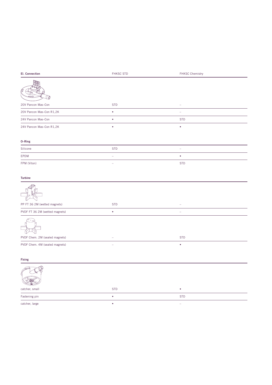| <b>El. Connection</b>          | FHKSC STD  | <b>FHKSC Chemistry</b>   |  |
|--------------------------------|------------|--------------------------|--|
|                                |            |                          |  |
| 20V Pancon Mas-Con             | <b>STD</b> | $\overline{\phantom{0}}$ |  |
| 20V Pancon Mas-Con R1,2K       | $\bullet$  | i.                       |  |
| 24V Pancon Mas-Con             | $\bullet$  | <b>STD</b>               |  |
| 24V Pancon Mas-Con R1,2K       | $\bullet$  | $\bullet$                |  |
| 0-Ring                         |            |                          |  |
| Silicone                       | <b>STD</b> | $\overline{\phantom{a}}$ |  |
| EPDM                           | $\equiv$   | $\bullet$                |  |
| FPM (Viton)                    |            | <b>STD</b>               |  |
| <b>Turbine</b>                 |            |                          |  |
|                                |            |                          |  |
| PP FT 36 2M (wetted magnets)   | <b>STD</b> |                          |  |
| PVDF FT 36 2M (wetted magnets) | $\bullet$  | $\qquad \qquad -$        |  |
|                                |            |                          |  |
| PVDF Chem. 2M (sealed magnets) |            | <b>STD</b>               |  |
| PVDF Chem. 4M (sealed magnets) |            | $\bullet$                |  |
| <b>Fixing</b>                  |            |                          |  |
|                                |            |                          |  |
| catcher, small                 | <b>STD</b> | $\bullet$                |  |
| Fastening pin                  | $\bullet$  | <b>STD</b>               |  |
| catcher, large                 | $\bullet$  | $\equiv$                 |  |